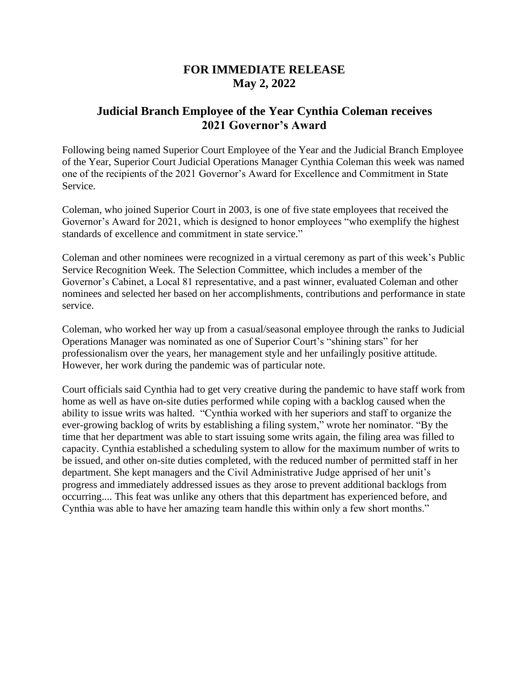## **FOR IMMEDIATE RELEASE May 2, 2022**

## **Judicial Branch Employee of the Year Cynthia Coleman receives 2021 Governor's Award**

Following being named Superior Court Employee of the Year and the Judicial Branch Employee of the Year, Superior Court Judicial Operations Manager Cynthia Coleman this week was named one of the recipients of the 2021 Governor's Award for Excellence and Commitment in State Service.

Coleman, who joined Superior Court in 2003, is one of five state employees that received the Governor's Award for 2021, which is designed to honor employees "who exemplify the highest standards of excellence and commitment in state service."

Coleman and other nominees were recognized in a virtual ceremony as part of this week's Public Service Recognition Week. The Selection Committee, which includes a member of the Governor's Cabinet, a Local 81 representative, and a past winner, evaluated Coleman and other nominees and selected her based on her accomplishments, contributions and performance in state service.

Coleman, who worked her way up from a casual/seasonal employee through the ranks to Judicial Operations Manager was nominated as one of Superior Court's "shining stars" for her professionalism over the years, her management style and her unfailingly positive attitude. However, her work during the pandemic was of particular note.

Court officials said Cynthia had to get very creative during the pandemic to have staff work from home as well as have on-site duties performed while coping with a backlog caused when the ability to issue writs was halted. "Cynthia worked with her superiors and staff to organize the ever-growing backlog of writs by establishing a filing system," wrote her nominator. "By the time that her department was able to start issuing some writs again, the filing area was filled to capacity. Cynthia established a scheduling system to allow for the maximum number of writs to be issued, and other on-site duties completed, with the reduced number of permitted staff in her department. She kept managers and the Civil Administrative Judge apprised of her unit's progress and immediately addressed issues as they arose to prevent additional backlogs from occurring.... This feat was unlike any others that this department has experienced before, and Cynthia was able to have her amazing team handle this within only a few short months."